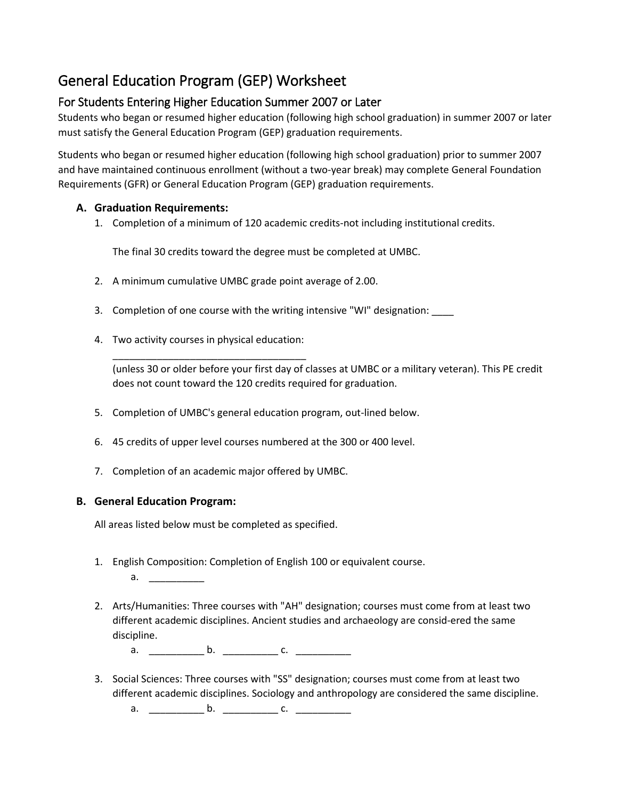# General Education Program (GEP) Worksheet

## For Students Entering Higher Education Summer 2007 or Later

Students who began or resumed higher education (following high school graduation) in summer 2007 or later must satisfy the General Education Program (GEP) graduation requirements.

Students who began or resumed higher education (following high school graduation) prior to summer 2007 and have maintained continuous enrollment (without a two-year break) may complete General Foundation Requirements (GFR) or General Education Program (GEP) graduation requirements.

### **A. Graduation Requirements:**

1. Completion of a minimum of 120 academic credits-not including institutional credits.

The final 30 credits toward the degree must be completed at UMBC.

- 2. A minimum cumulative UMBC grade point average of 2.00.
- 3. Completion of one course with the writing intensive "WI" designation:
- 4. Two activity courses in physical education:

\_\_\_\_\_\_\_\_\_\_\_\_\_\_\_\_\_\_\_\_\_\_\_\_\_\_\_\_\_\_\_\_\_\_\_

(unless 30 or older before your first day of classes at UMBC or a military veteran). This PE credit does not count toward the 120 credits required for graduation.

- 5. Completion of UMBC's general education program, out-lined below.
- 6. 45 credits of upper level courses numbered at the 300 or 400 level.
- 7. Completion of an academic major offered by UMBC.

#### **B. General Education Program:**

All areas listed below must be completed as specified.

- 1. English Composition: Completion of English 100 or equivalent course.
	- $a.$   $\qquad \qquad \ldots$
- 2. Arts/Humanities: Three courses with "AH" designation; courses must come from at least two different academic disciplines. Ancient studies and archaeology are consid-ered the same discipline.
	- a.  $\qquad \qquad$  b.  $\qquad \qquad$  c.
- 3. Social Sciences: Three courses with "SS" designation; courses must come from at least two different academic disciplines. Sociology and anthropology are considered the same discipline.

a. \_\_\_\_\_\_\_\_\_\_ b. \_\_\_\_\_\_\_\_\_\_ c. \_\_\_\_\_\_\_\_\_\_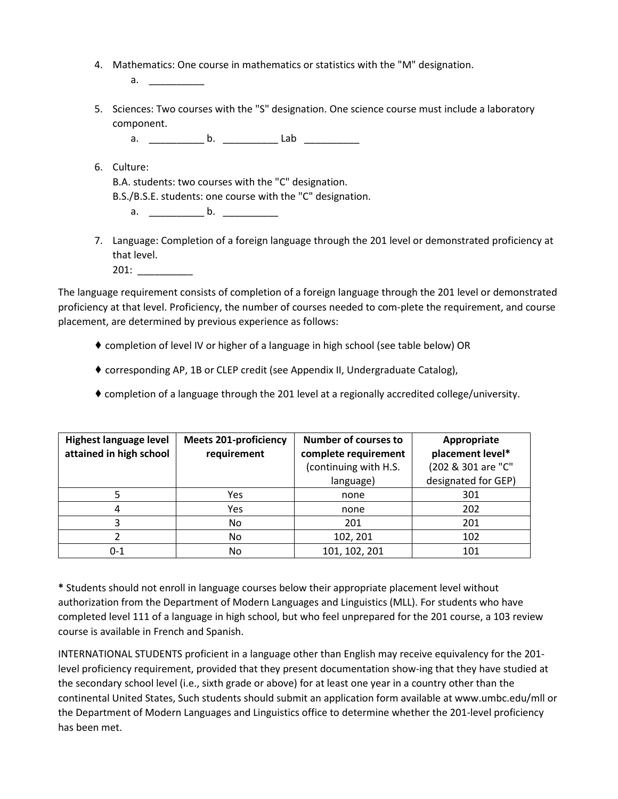4. Mathematics: One course in mathematics or statistics with the "M" designation.

a. \_\_\_\_\_\_\_\_\_\_

5. Sciences: Two courses with the "S" designation. One science course must include a laboratory component.

a. \_\_\_\_\_\_\_\_\_\_ b. \_\_\_\_\_\_\_\_\_\_ Lab \_\_\_\_\_\_\_\_\_\_

- 6. Culture: B.A. students: two courses with the "C" designation. B.S./B.S.E. students: one course with the "C" designation.
	- $a.$  b.  $b.$
- 7. Language: Completion of a foreign language through the 201 level or demonstrated proficiency at that level.

201: \_\_\_\_\_\_\_\_\_\_

The language requirement consists of completion of a foreign language through the 201 level or demonstrated proficiency at that level. Proficiency, the number of courses needed to com-plete the requirement, and course placement, are determined by previous experience as follows:

- ♦ completion of level IV or higher of a language in high school (see table below) OR
- ♦ corresponding AP, 1B or CLEP credit (see Appendix II, Undergraduate Catalog),
- ♦ completion of a language through the 201 level at a regionally accredited college/university.

| <b>Highest language level</b> | <b>Meets 201-proficiency</b> | <b>Number of courses to</b> | Appropriate         |
|-------------------------------|------------------------------|-----------------------------|---------------------|
| attained in high school       | requirement                  | complete requirement        | placement level*    |
|                               |                              | (continuing with H.S.       | (202 & 301 are "C"  |
|                               |                              | language)                   | designated for GEP) |
|                               | Yes                          | none                        | 301                 |
|                               | Yes                          | none                        | 202                 |
|                               | No.                          | 201                         | 201                 |
|                               | No.                          | 102, 201                    | 102                 |
| 0-1                           | No                           | 101, 102, 201               | 101                 |

**\*** Students should not enroll in language courses below their appropriate placement level without authorization from the Department of Modern Languages and Linguistics (MLL). For students who have completed level 111 of a language in high school, but who feel unprepared for the 201 course, a 103 review course is available in French and Spanish.

INTERNATIONAL STUDENTS proficient in a language other than English may receive equivalency for the 201 level proficiency requirement, provided that they present documentation show-ing that they have studied at the secondary school level (i.e., sixth grade or above) for at least one year in a country other than the continental United States, Such students should submit an application form available at www.umbc.edu/mll or the Department of Modern Languages and Linguistics office to determine whether the 201-level proficiency has been met.